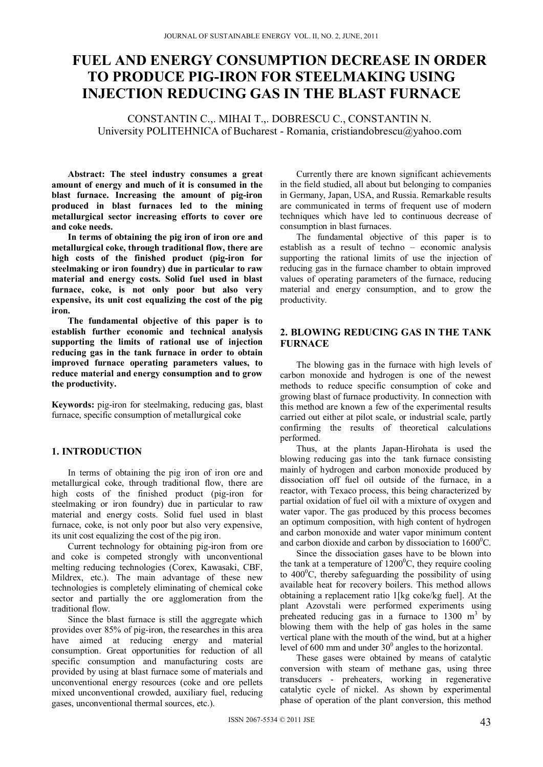# **FUEL AND ENERGY CONSUMPTION DECREASE IN ORDER TO PRODUCE PIG-IRON FOR STEELMAKING USING INJECTION REDUCING GAS IN THE BLAST FURNACE**

CONSTANTIN C.,. MIHAI T.,. DOBRESCU C., CONSTANTIN N. University POLITEHNICA of Bucharest - Romania, cristiandobrescu@yahoo.com

**Abstract: The steel industry consumes a great amount of energy and much of it is consumed in the blast furnace. Increasing the amount of pig-iron produced in blast furnaces led to the mining metallurgical sector increasing efforts to cover ore and coke needs.** 

**In terms of obtaining the pig iron of iron ore and metallurgical coke, through traditional flow, there are high costs of the finished product (pig-iron for steelmaking or iron foundry) due in particular to raw material and energy costs. Solid fuel used in blast furnace, coke, is not only poor but also very expensive, its unit cost equalizing the cost of the pig iron.** 

**The fundamental objective of this paper is to establish further economic and technical analysis supporting the limits of rational use of injection reducing gas in the tank furnace in order to obtain improved furnace operating parameters values, to reduce material and energy consumption and to grow the productivity.** 

**Keywords:** pig-iron for steelmaking, reducing gas, blast furnace, specific consumption of metallurgical coke

## **1. INTRODUCTION**

In terms of obtaining the pig iron of iron ore and metallurgical coke, through traditional flow, there are high costs of the finished product (pig-iron for steelmaking or iron foundry) due in particular to raw material and energy costs. Solid fuel used in blast furnace, coke, is not only poor but also very expensive, its unit cost equalizing the cost of the pig iron.

Current technology for obtaining pig-iron from ore and coke is competed strongly with unconventional melting reducing technologies (Corex, Kawasaki, CBF, Mildrex, etc.). The main advantage of these new technologies is completely eliminating of chemical coke sector and partially the ore agglomeration from the traditional flow.

Since the blast furnace is still the aggregate which provides over 85% of pig-iron, the researches in this area have aimed at reducing energy and material consumption. Great opportunities for reduction of all specific consumption and manufacturing costs are provided by using at blast furnace some of materials and unconventional energy resources (coke and ore pellets mixed unconventional crowded, auxiliary fuel, reducing gases, unconventional thermal sources, etc.).

Currently there are known significant achievements in the field studied, all about but belonging to companies in Germany, Japan, USA, and Russia. Remarkable results are communicated in terms of frequent use of modern techniques which have led to continuous decrease of consumption in blast furnaces.

The fundamental objective of this paper is to establish as a result of techno – economic analysis supporting the rational limits of use the injection of reducing gas in the furnace chamber to obtain improved values of operating parameters of the furnace, reducing material and energy consumption, and to grow the productivity.

## **2. BLOWING REDUCING GAS IN THE TANK FURNACE**

The blowing gas in the furnace with high levels of carbon monoxide and hydrogen is one of the newest methods to reduce specific consumption of coke and growing blast of furnace productivity. In connection with this method are known a few of the experimental results carried out either at pilot scale, or industrial scale, partly confirming the results of theoretical calculations performed.

Thus, at the plants Japan-Hirohata is used the blowing reducing gas into the tank furnace consisting mainly of hydrogen and carbon monoxide produced by dissociation off fuel oil outside of the furnace, in a reactor, with Texaco process, this being characterized by partial oxidation of fuel oil with a mixture of oxygen and water vapor. The gas produced by this process becomes an optimum composition, with high content of hydrogen and carbon monoxide and water vapor minimum content and carbon dioxide and carbon by dissociation to  $1600^{\circ}$ C.

Since the dissociation gases have to be blown into the tank at a temperature of  $1200^{\circ}$ C, they require cooling to  $400^{\circ}$ C, thereby safeguarding the possibility of using available heat for recovery boilers. This method allows obtaining a replacement ratio 1[kg coke/kg fuel]. At the plant Azovstali were performed experiments using preheated reducing gas in a furnace to  $1300 \text{ m}^3$  by blowing them with the help of gas holes in the same vertical plane with the mouth of the wind, but at a higher level of  $600$  mm and under  $30^0$  angles to the horizontal.

These gases were obtained by means of catalytic conversion with steam of methane gas, using three transducers - preheaters, working in regenerative catalytic cycle of nickel. As shown by experimental phase of operation of the plant conversion, this method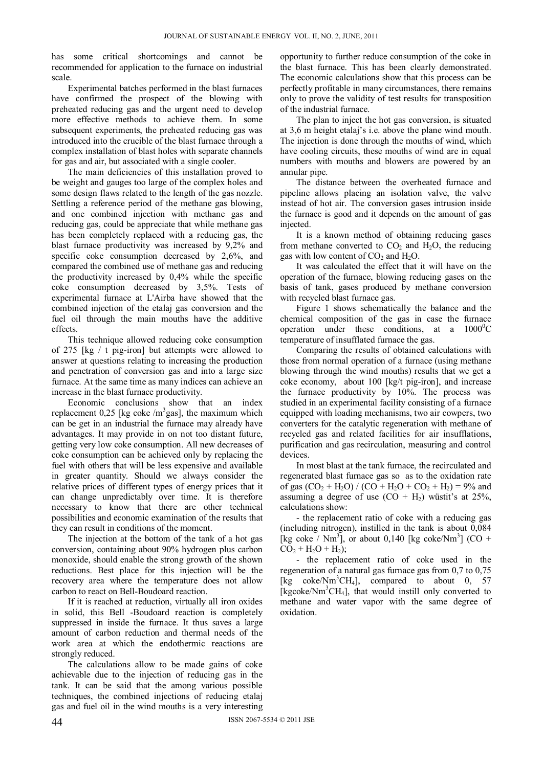has some critical shortcomings and cannot be recommended for application to the furnace on industrial scale.

Experimental batches performed in the blast furnaces have confirmed the prospect of the blowing with preheated reducing gas and the urgent need to develop more effective methods to achieve them. In some subsequent experiments, the preheated reducing gas was introduced into the crucible of the blast furnace through a complex installation of blast holes with separate channels for gas and air, but associated with a single cooler.

The main deficiencies of this installation proved to be weight and gauges too large of the complex holes and some design flaws related to the length of the gas nozzle. Settling a reference period of the methane gas blowing, and one combined injection with methane gas and reducing gas, could be appreciate that while methane gas has been completely replaced with a reducing gas, the blast furnace productivity was increased by 9,2% and specific coke consumption decreased by 2,6%, and compared the combined use of methane gas and reducing the productivity increased by 0,4% while the specific coke consumption decreased by 3,5%. Tests of experimental furnace at L'Airba have showed that the combined injection of the etalaj gas conversion and the fuel oil through the main mouths have the additive effects.

This technique allowed reducing coke consumption of 275 [kg / t pig-iron] but attempts were allowed to answer at questions relating to increasing the production and penetration of conversion gas and into a large size furnace. At the same time as many indices can achieve an increase in the blast furnace productivity.

Economic conclusions show that an index replacement  $0.25$  [kg coke /m<sup>3</sup>gas], the maximum which can be get in an industrial the furnace may already have advantages. It may provide in on not too distant future, getting very low coke consumption. All new decreases of coke consumption can be achieved only by replacing the fuel with others that will be less expensive and available in greater quantity. Should we always consider the relative prices of different types of energy prices that it can change unpredictably over time. It is therefore necessary to know that there are other technical possibilities and economic examination of the results that they can result in conditions of the moment.

The injection at the bottom of the tank of a hot gas conversion, containing about 90% hydrogen plus carbon monoxide, should enable the strong growth of the shown reductions. Best place for this injection will be the recovery area where the temperature does not allow carbon to react on Bell-Boudoard reaction.

If it is reached at reduction, virtually all iron oxides in solid, this Bell -Boudoard reaction is completely suppressed in inside the furnace. It thus saves a large amount of carbon reduction and thermal needs of the work area at which the endothermic reactions are strongly reduced.

The calculations allow to be made gains of coke achievable due to the injection of reducing gas in the tank. It can be said that the among various possible techniques, the combined injections of reducing etalaj gas and fuel oil in the wind mouths is a very interesting opportunity to further reduce consumption of the coke in the blast furnace. This has been clearly demonstrated. The economic calculations show that this process can be perfectly profitable in many circumstances, there remains only to prove the validity of test results for transposition of the industrial furnace.

The plan to inject the hot gas conversion, is situated at 3,6 m height etalaj's i.e. above the plane wind mouth. The injection is done through the mouths of wind, which have cooling circuits, these mouths of wind are in equal numbers with mouths and blowers are powered by an annular pipe.

The distance between the overheated furnace and pipeline allows placing an isolation valve, the valve instead of hot air. The conversion gases intrusion inside the furnace is good and it depends on the amount of gas injected.

It is a known method of obtaining reducing gases from methane converted to  $CO<sub>2</sub>$  and  $H<sub>2</sub>O$ , the reducing gas with low content of  $CO<sub>2</sub>$  and  $H<sub>2</sub>O$ .

It was calculated the effect that it will have on the operation of the furnace, blowing reducing gases on the basis of tank, gases produced by methane conversion with recycled blast furnace gas.

Figure 1 shows schematically the balance and the chemical composition of the gas in case the furnace operation under these conditions, at a  $1000^{\circ}$ C temperature of insufflated furnace the gas.

Comparing the results of obtained calculations with those from normal operation of a furnace (using methane blowing through the wind mouths) results that we get a coke economy, about 100 [kg/t pig-iron], and increase the furnace productivity by 10%. The process was studied in an experimental facility consisting of a furnace equipped with loading mechanisms, two air cowpers, two converters for the catalytic regeneration with methane of recycled gas and related facilities for air insufflations, purification and gas recirculation, measuring and control devices.

In most blast at the tank furnace, the recirculated and regenerated blast furnace gas so as to the oxidation rate of gas  $(CO_2 + H_2O) / (CO + H_2O + CO_2 + H_2) = 9\%$  and assuming a degree of use  $(CO + H_2)$  wüstit's at 25%, calculations show:

- the replacement ratio of coke with a reducing gas (including nitrogen), instilled in the tank is about 0,084 [kg coke /  $Nm^3$ ], or about 0,140 [kg coke/ $Nm^3$ ] (CO +  $CO<sub>2</sub> + H<sub>2</sub>O + H<sub>2</sub>$ ;

- the replacement ratio of coke used in the regeneration of a natural gas furnace gas from 0,7 to 0,75 [kg coke/Nm<sup>3</sup>CH<sub>4</sub>], compared to about 0, 57 [kgcoke/Nm<sup>3</sup>CH<sub>4</sub>], that would instill only converted to methane and water vapor with the same degree of oxidation.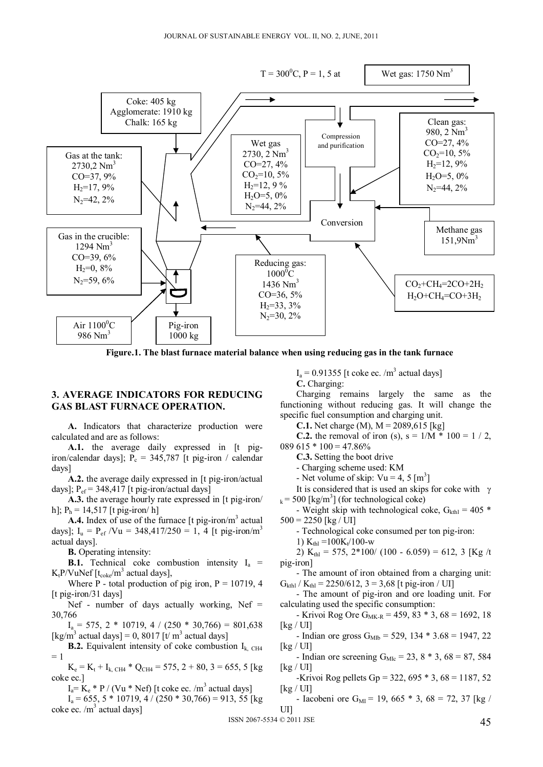

**Figure.1. The blast furnace material balance when using reducing gas in the tank furnace**

## **3. AVERAGE INDICATORS FOR REDUCING GAS BLAST FURNACE OPERATION.**

**A.** Indicators that characterize production were calculated and are as follows:

A.1. the average daily expressed in [t pigiron/calendar days];  $P_c = 345,787$  [t pig-iron / calendar days]

**A.2.** the average daily expressed in [t pig-iron/actual days];  $P_{\text{ef}}$  = 348,417 [t pig-iron/actual days]

**A.3.** the average hourly rate expressed in [t pig-iron/ h];  $P_h = 14,517$  [t pig-iron/ h]

A.4. Index of use of the furnace [t pig-iron/m<sup>3</sup> actual days];  $I_u = P_{ef} / Vu = 348,417/250 = 1, 4$  [t pig-iron/m<sup>3</sup> actual days].

**B.** Operating intensity:

**B.1.** Technical coke combustion intensity  $I_a$  =  $K_t$ P/VuNef [t<sub>coke</sub>/m<sup>3</sup> actual days],

Where P - total production of pig iron,  $P = 10719$ , 4 [t pig-iron/31 days]

Nef - number of days actually working, Nef = 30,766

 $I_a = 575$ ,  $2 * 10719$ ,  $4 / (250 * 30,766) = 801,638$ [kg/m<sup>3</sup> actual days] = 0, 8017 [t/ m<sup>3</sup> actual days]

**B.2.** Equivalent intensity of coke combustion  $I_{k, CH4}$  $= 1$ 

 $K_e = K_t + I_{k, CH4} * Q_{CH4} = 575, 2 + 80, 3 = 655, 5$  [kg coke ec.]

 $I_a = K_e * P / (Vu * Nef)$  [t coke ec. /m<sup>3</sup> actual days]

 $I_a = 655$ , 5  $*$  10719, 4 / (250  $*$  30,766) = 913, 55 [kg  $\csc \sqrt{m^3}$  actual days]

 $I_a = 0.91355$  [t coke ec. /m<sup>3</sup> actual days]

**C.** Charging:

Charging remains largely the same as the functioning without reducing gas. It will change the specific fuel consumption and charging unit.

**C.1.** Net charge (M),  $M = 2089,615$  [kg]

**C.2.** the removal of iron (s),  $s = 1/M * 100 = 1 / 2$ ,  $089615 * 100 = 47.86\%$ 

**C.3.** Setting the boot drive

- Charging scheme used: KM

- Net volume of skip:  $Vu = 4$ ,  $5 [m<sup>3</sup>]$ 

It is considered that is used an skips for coke with  $\gamma$  $k = 500$  [kg/m<sup>3</sup>] (for technological coke)

- Weight skip with technological coke,  $G_{\text{kthl}} = 405$  \*  $500 = 2250$  [kg / UI]

- Technological coke consumed per ton pig-iron:

1)  $K_{\text{th}} = 100K_t/100$ -w

2) K<sub>thl</sub> = 575, 2\*100/ (100 - 6.059) = 612, 3 [Kg /t pig-iron]

- The amount of iron obtained from a charging unit:  $G<sub>kth</sub> / K<sub>th</sub> = 2250/612, 3 = 3,68$  [t pig-iron / UI]

- The amount of pig-iron and ore loading unit. For calculating used the specific consumption:

- Krivoi Rog Ore G<sub>MK-R</sub> = 459, 83  $*$  3, 68 = 1692, 18  $[kg / UI]$ 

- Indian ore gross  $G_{M1b} = 529$ , 134  $*$  3.68 = 1947, 22 [kg / UI]

- Indian ore screening  $G_{\text{Mlc}} = 23$ ,  $8 * 3$ ,  $68 = 87$ , 584 [kg / UI]

-Krivoi Rog pellets Gp =  $322, 695 * 3, 68 = 1187, 52$  $[kg/U]$ 

- Iacobeni ore G<sub>MI</sub> = 19, 665  $*$  3, 68 = 72, 37 [kg / UI]

 $1$ SSN 2067-5534 © 2011 JSE 45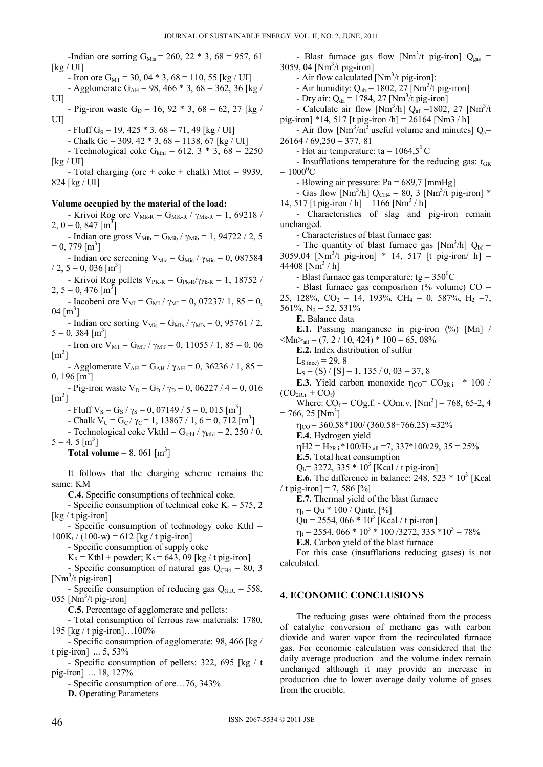-Indian ore sorting  $G_{MIs} = 260$ ,  $22 * 3$ ,  $68 = 957$ , 61 [kg / UI]

- Iron ore  $G_{\text{MT}} = 30$ , 04  $*$  3, 68 = 110, 55 [kg / UI]

- Agglomerate G<sub>AH</sub> = 98, 466  $*$  3, 68 = 362, 36 [kg / UI]

- Pig-iron waste G<sub>D</sub> = 16, 92  $*$  3, 68 = 62, 27 [kg / UI]
	- Fluff G<sub>S</sub> = 19, 425  $*$  3, 68 = 71, 49 [kg / UI]
	- Chalk Gc = 309, 42  $*$  3, 68 = 1138, 67 [kg / UI]
- Technological coke  $G_{\text{kthl}} = 612, 3 * 3, 68 = 2250$  $\left[\text{kg}/\text{UI}\right]$
- Total charging (ore  $+$  coke  $+$  chalk) Mtot = 9939, 824 [kg / UI]

#### **Volume occupied by the material of the load:**

- Krivoi Rog ore  $V_{Mk-R} = G_{MK-R} / \gamma_{Mk-R} = 1,69218 /$  $2, 0 = 0, 847$  [m<sup>3</sup>]

- Indian ore gross  $V_{\text{Mlb}} = G_{\text{Mib}} / \gamma_{\text{Mib}} = 1,94722 / 2,5$  $= 0, 779$  [m<sup>3</sup>]

- Indian ore screening  $V_{\text{Mic}} = G_{\text{Mic}} / \gamma_{\text{Mic}} = 0$ , 087584  $/ 2, 5 = 0, 036$  [m<sup>3</sup>]

- Krivoi Rog pellets  $V_{PK-R} = G_{Pk-R}/\gamma_{Pk-R} = 1, 18752 /$  $2, 5 = 0, 476 \,[\text{m}^3]$ 

- Iacobeni ore V<sub>MI</sub> = G<sub>MI</sub> /  $\gamma_{\text{MI}} = 0$ , 07237/ 1, 85 = 0,  $04 [m^3]$
- Indian ore sorting  $V_{\text{Mis}} = G_{\text{MIs}} / \gamma_{\text{MIs}} = 0$ , 95761 / 2,  $5 = 0, 384$  [m<sup>3</sup>]

- Iron ore  $V_{\text{MT}} = G_{\text{MT}} / \gamma_{\text{MT}} = 0$ , 11055 / 1, 85 = 0, 06  $\left[\text{m}^3\right]$ 

- Agglomerate V<sub>AH</sub> = G<sub>AH</sub> /  $\gamma_{AH}$  = 0, 36236 / 1, 85 =  $0, 196 \,[\mathrm{m}^3]$ 

- Pig-iron waste  $V_D = G_D / \gamma_D = 0$ , 06227 / 4 = 0, 016  $\left[\text{m}^3\right]$ 

- Fluff  $V_s = G_s / \gamma_s = 0, 07149 / 5 = 0, 015 [m^3]$ 

- Chalk  $V_C = G_C / \gamma_C = 1, 13867 / 1, 6 = 0, 712 [m^3]$
- Technological coke Vkthl =  $G_{\text{kth}}$  /  $\gamma_{\text{kth}}$  = 2, 250 / 0,
- $5 = 4, 5 \,[\mathrm{m}^3]$ 
	- **Total volume** = 8, 061  $[m^3]$

It follows that the charging scheme remains the same: KM

**C.4.** Specific consumptions of technical coke.

- Specific consumption of technical coke  $K_t = 575$ , 2 [kg / t pig-iron]

- Specific consumption of technology coke Kthl =  $100K_t / (100-w) = 612$  [kg / t pig-iron]

- Specific consumption of supply coke

 $K_S = Kthl + powder$ ;  $K_S = 643$ , 09 [kg / t pig-iron]

- Specific consumption of natural gas  $Q_{CH4} = 80$ , 3 [Nm<sup>3</sup>/t pig-iron]

- Specific consumption of reducing gas  $Q_{\text{G,R}} = 558$ , 055 [ $Nm^3/t$  pig-iron]

**C.5.** Percentage of agglomerate and pellets:

- Total consumption of ferrous raw materials: 1780, 195 [kg / t pig-iron]…100%

- Specific consumption of agglomerate: 98, 466 [kg / t pig-iron] ... 5, 53%

- Specific consumption of pellets: 322, 695 [kg / t pig-iron] ... 18, 127%

- Specific consumption of ore…76, 343%

**D.** Operating Parameters

- Blast furnace gas flow [Nm<sup>3</sup>/t pig-iron]  $Q_{gas}$  = 3059, 04 [Nm<sup>3</sup>/t pig-iron] - Air flow calculated  $[Nm^3/t$  pig-iron]: - Air humidity:  $Q_{ab} = 1802, 27$  [Nm<sup>3</sup>/t pig-iron] - Dry air:  $Q_{da} = 1784, 27$  [Nm<sup>3</sup>/t pig-iron] - Calculate air flow [Nm<sup>3</sup>/h]  $Q_{af} = 1802$ , 27 [Nm<sup>3</sup>/t] pig-iron] \*14, 517 [t pig-iron  $/h$ ] = 26164 [Nm3  $/h$ ] - Air flow  $[Nm^3/m^3]$  useful volume and minutes]  $Q_a$ =  $26164 / 69.250 = 377,81$ - Hot air temperature: ta =  $1064.5^{\circ}$  C - Insufflations temperature for the reducing gas:  $t_{GR}$  $= 1000^0C$ - Blowing air pressure: Pa = 689,7 [mmHg] - Gas flow [Nm<sup>3</sup>/h] Q<sub>CH4</sub> = 80, 3 [Nm<sup>3</sup>/t pig-iron] \* 14, 517 [t pig-iron / h] = 1166  $[Nm^3 / h]$ - Characteristics of slag and pig-iron remain unchanged. - Characteristics of blast furnace gas: - The quantity of blast furnace gas [Nm<sup>3</sup>/h]  $Q_{bf}$  = 3059.04 [Nm<sup>3</sup>/t pig-iron] \* 14, 517 [t pig-iron/ h] = 44408  $[Nm^3/h]$ - Blast furnace gas temperature:  $tg = 350^{\circ}C$ - Blast furnace gas composition (% volume)  $CO =$ 25, 128%,  $CO_2 = 14$ , 193%,  $CH_4 = 0$ , 587%,  $H_2 = 7$ , 561%,  $N_2 = 52, 531\%$ **E.** Balance data **E.1.** Passing manganese in pig-iron (%) [Mn] /  $\langle Mn \rangle_{\rm all} = (7, 2 / 10, 424) * 100 = 65,08\%$ **E.2.** Index distribution of sulfur  $L_{S (nec)} = 29, 8$  $L_s = (S) / [S] = 1, 135 / 0, 03 = 37, 8$ **E.3.** Yield carbon monoxide  $\eta_{CO} = CO_{2R.i.}$  \* 100 /  $(CO_{2R.i.} + CO_f)$ Where:  $\text{CO}_f = \text{COg.f.} - \text{COM.}v.$  [Nm<sup>3</sup>] = 768, 65-2, 4  $= 766, 25$  [Nm<sup>3</sup>]  $\eta_{\text{CO}}$  = 360.58\*100/ (360.58+766.25)  $\approx$ 32% **E.4.** Hydrogen yield  $\eta$ H2 = H<sub>2R i</sub> \* 100/H<sub>2 all</sub> =7, 337 \* 100/29, 35 = 25% **E.5.** Total heat consumption  $Q_h$ = 3272, 335  $*$  10<sup>3</sup> [Kcal / t pig-iron] **E.6.** The difference in balance:  $248$ ,  $523 * 10<sup>3</sup>$  [Kcal] / t pig-iron] = 7, 586  $[%]$ **E.7.** Thermal yield of the blast furnace  $\eta_t = Qu * 100 / Qint, [\%]$  $Qu = 2554, 066 * 10<sup>3</sup>$  [Kcal / t pi-iron]  $\eta_t = 2554, 066 * 10^3 * 100 / 3272, 335 * 10^3 = 78\%$ 

**E.8.** Carbon yield of the blast furnace

For this case (insufflations reducing gases) is not calculated.

#### **4. ECONOMIC CONCLUSIONS**

The reducing gases were obtained from the process of catalytic conversion of methane gas with carbon dioxide and water vapor from the recirculated furnace gas. For economic calculation was considered that the daily average production and the volume index remain unchanged although it may provide an increase in production due to lower average daily volume of gases from the crucible.